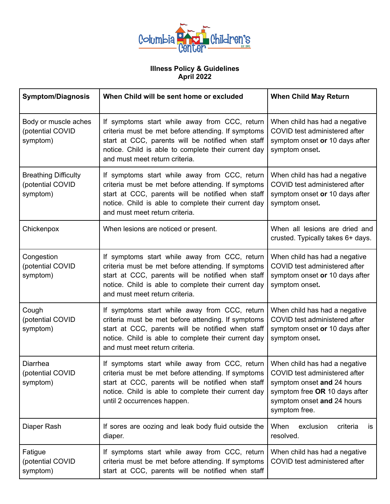

## **Illness Policy & Guidelines April 2022**

| <b>Symptom/Diagnosis</b>                                    | When Child will be sent home or excluded                                                                                                                                                                                                                                                                       | <b>When Child May Return</b>                                                                                       |
|-------------------------------------------------------------|----------------------------------------------------------------------------------------------------------------------------------------------------------------------------------------------------------------------------------------------------------------------------------------------------------------|--------------------------------------------------------------------------------------------------------------------|
| Body or muscle aches<br>(potential COVID<br>symptom)        | If symptoms start while away from CCC, return<br>criteria must be met before attending. If symptoms<br>start at CCC, parents will be notified when staff<br>notice. Child is able to complete their current day<br>and must meet return criteria.                                                              | When child has had a negative<br>COVID test administered after<br>symptom onset or 10 days after<br>symptom onset. |
| <b>Breathing Difficulty</b><br>(potential COVID<br>symptom) | If symptoms start while away from CCC, return<br>criteria must be met before attending. If symptoms<br>start at CCC, parents will be notified when staff<br>notice. Child is able to complete their current day<br>and must meet return criteria.                                                              | When child has had a negative<br>COVID test administered after<br>symptom onset or 10 days after<br>symptom onset. |
| Chickenpox                                                  | When lesions are noticed or present.                                                                                                                                                                                                                                                                           | When all lesions are dried and<br>crusted. Typically takes 6+ days.                                                |
| Congestion<br>(potential COVID<br>symptom)                  | If symptoms start while away from CCC, return<br>criteria must be met before attending. If symptoms<br>start at CCC, parents will be notified when staff<br>notice. Child is able to complete their current day<br>and must meet return criteria.                                                              | When child has had a negative<br>COVID test administered after<br>symptom onset or 10 days after<br>symptom onset. |
| Cough<br>(potential COVID<br>symptom)                       | If symptoms start while away from CCC, return<br>criteria must be met before attending. If symptoms<br>start at CCC, parents will be notified when staff<br>notice. Child is able to complete their current day<br>and must meet return criteria.                                                              | When child has had a negative<br>COVID test administered after<br>symptom onset or 10 days after<br>symptom onset. |
| Diarrhea<br>(potential COVID<br>symptom)                    | If symptoms start while away from CCC, return   When child has had a negative<br>criteria must be met before attending. If symptoms   COVID test administered after<br>start at CCC, parents will be notified when staff<br>notice. Child is able to complete their current day<br>until 2 occurrences happen. | symptom onset and 24 hours<br>symptom free OR 10 days after<br>symptom onset and 24 hours<br>symptom free.         |
| Diaper Rash                                                 | If sores are oozing and leak body fluid outside the<br>diaper.                                                                                                                                                                                                                                                 | When<br>exclusion<br>criteria<br><b>is</b><br>resolved.                                                            |
| Fatigue<br>(potential COVID<br>symptom)                     | If symptoms start while away from CCC, return<br>criteria must be met before attending. If symptoms<br>start at CCC, parents will be notified when staff                                                                                                                                                       | When child has had a negative<br>COVID test administered after                                                     |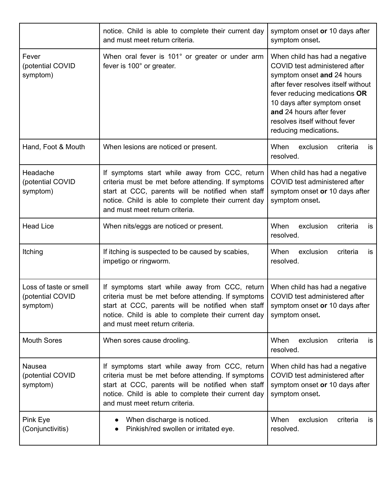|                                                        | notice. Child is able to complete their current day<br>and must meet return criteria.                                                                                                                                                             | symptom onset or 10 days after<br>symptom onset.                                                                                                                                                                                                                                          |
|--------------------------------------------------------|---------------------------------------------------------------------------------------------------------------------------------------------------------------------------------------------------------------------------------------------------|-------------------------------------------------------------------------------------------------------------------------------------------------------------------------------------------------------------------------------------------------------------------------------------------|
| Fever<br>(potential COVID<br>symptom)                  | When oral fever is 101° or greater or under arm<br>fever is 100° or greater.                                                                                                                                                                      | When child has had a negative<br>COVID test administered after<br>symptom onset and 24 hours<br>after fever resolves itself without<br>fever reducing medications OR<br>10 days after symptom onset<br>and 24 hours after fever<br>resolves itself without fever<br>reducing medications. |
| Hand, Foot & Mouth                                     | When lesions are noticed or present.                                                                                                                                                                                                              | When<br>exclusion<br>criteria<br>is<br>resolved.                                                                                                                                                                                                                                          |
| Headache<br>(potential COVID<br>symptom)               | If symptoms start while away from CCC, return<br>criteria must be met before attending. If symptoms<br>start at CCC, parents will be notified when staff<br>notice. Child is able to complete their current day<br>and must meet return criteria. | When child has had a negative<br>COVID test administered after<br>symptom onset or 10 days after<br>symptom onset.                                                                                                                                                                        |
| <b>Head Lice</b>                                       | When nits/eggs are noticed or present.                                                                                                                                                                                                            | When<br>exclusion<br>criteria<br><b>is</b><br>resolved.                                                                                                                                                                                                                                   |
| Itching                                                | If itching is suspected to be caused by scabies,<br>impetigo or ringworm.                                                                                                                                                                         | When<br>exclusion<br>criteria<br>is<br>resolved.                                                                                                                                                                                                                                          |
| Loss of taste or smell<br>(potential COVID<br>symptom) | If symptoms start while away from CCC, return<br>criteria must be met before attending. If symptoms<br>start at CCC, parents will be notified when staff<br>notice. Child is able to complete their current day<br>and must meet return criteria. | When child has had a negative<br>COVID test administered after<br>symptom onset or 10 days after<br>symptom onset.                                                                                                                                                                        |
| <b>Mouth Sores</b>                                     | When sores cause drooling.                                                                                                                                                                                                                        | When<br>exclusion<br>criteria<br>is<br>resolved.                                                                                                                                                                                                                                          |
| Nausea<br>(potential COVID<br>symptom)                 | If symptoms start while away from CCC, return<br>criteria must be met before attending. If symptoms<br>start at CCC, parents will be notified when staff<br>notice. Child is able to complete their current day<br>and must meet return criteria. | When child has had a negative<br>COVID test administered after<br>symptom onset or 10 days after<br>symptom onset.                                                                                                                                                                        |
| Pink Eye<br>(Conjunctivitis)                           | When discharge is noticed.<br>Pinkish/red swollen or irritated eye.                                                                                                                                                                               | When<br>exclusion<br>criteria<br><b>is</b><br>resolved.                                                                                                                                                                                                                                   |